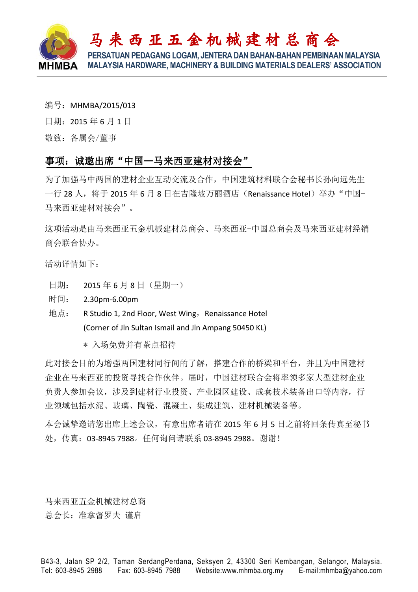

- 编号: MHMBA/2015/013
- 日期:2015 年 6 月 1 日

敬致:各属会/董事

Ξ

## 事项: 诚邀出席"中国一马来西亚建材对接会"

为了加强马中两国的建材企业互动交流及合作,中国建筑材料联合会秘书长孙向远先生 一行 28 人, 将于 2015 年 6 月 8 日在吉隆坡万丽酒店 (Renaissance Hotel) 举办 "中国-马来西亚建材对接会"。

这项活动是由马来西亚五金机械建材总商会、马来西亚-中国总商会及马来西亚建材经销 商会联合协办。

活动详情如下:

- 日期: 2015 年 6 月 8 日(星期一)
- 时间: 2.30pm-6.00pm
- 地点: R Studio 1, 2nd Floor, West Wing, Renaissance Hotel (Corner of Jln Sultan Ismail and Jln Ampang 50450 KL)

\* 入场免费并有茶点招待

此对接会目的为增强两国建材同行间的了解,搭建合作的桥梁和平台,并且为中国建材 企业在马来西亚的投资寻找合作伙伴。届时,中国建材联合会将率领多家大型建材企业 负责人参加会议,涉及到建材行业投资、产业园区建设、成套技术装备出口等内容,行 业领域包括水泥、玻璃、陶瓷、混凝土、集成建筑、建材机械装备等。

本会诚挚邀请您出席上述会议,有意出席者请在 2015 年 6 月 5 日之前将回条传真至秘书 处,传真:03-8945 7988。任何询问请联系 03-8945 2988。谢谢!

马来西亚五金机械建材总商 总会长:准拿督罗夫 谨启